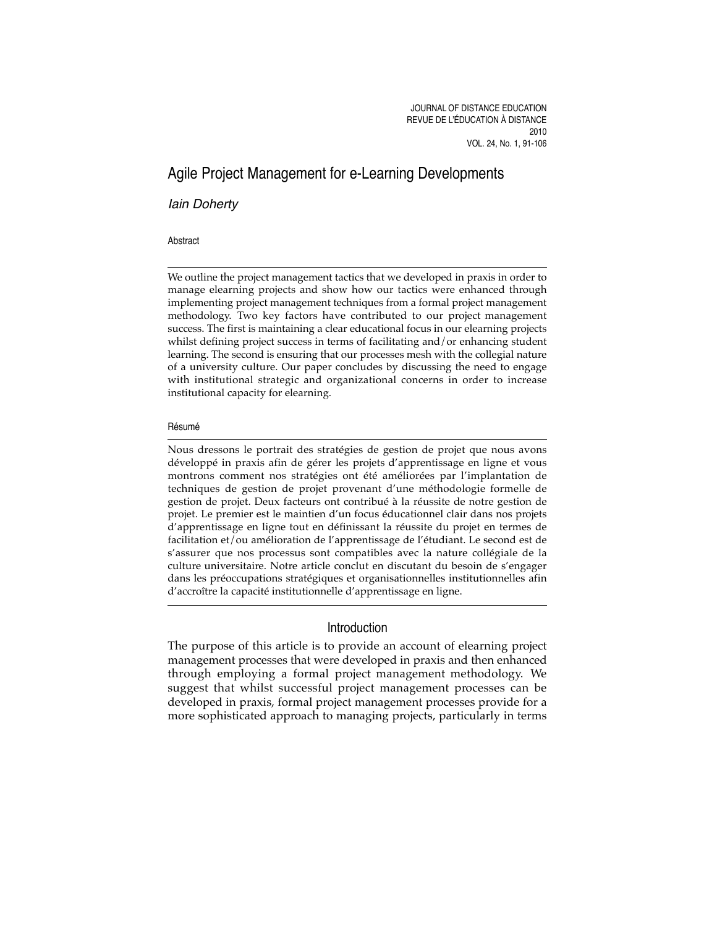# Agile Project Management for e-Learning Developments

Iain Doherty

#### Abstract

We outline the project management tactics that we developed in praxis in order to manage elearning projects and show how our tactics were enhanced through implementing project management techniques from a formal project management methodology. Two key factors have contributed to our project management success. The first is maintaining a clear educational focus in our elearning projects whilst defining project success in terms of facilitating and/or enhancing student learning. The second is ensuring that our processes mesh with the collegial nature of a university culture. Our paper concludes by discussing the need to engage with institutional strategic and organizational concerns in order to increase institutional capacity for elearning.

#### Résumé

Nous dressons le portrait des stratégies de gestion de projet que nous avons développé in praxis afin de gérer les projets d'apprentissage en ligne et vous montrons comment nos stratégies ont été améliorées par l'implantation de techniques de gestion de projet provenant d'une méthodologie formelle de gestion de projet. Deux facteurs ont contribué à la réussite de notre gestion de projet. Le premier est le maintien d'un focus éducationnel clair dans nos projets d'apprentissage en ligne tout en définissant la réussite du projet en termes de facilitation et/ou amélioration de l'apprentissage de l'étudiant. Le second est de s'assurer que nos processus sont compatibles avec la nature collégiale de la culture universitaire. Notre article conclut en discutant du besoin de s'engager dans les préoccupations stratégiques et organisationnelles institutionnelles afin d'accroître la capacité institutionnelle d'apprentissage en ligne.

# Introduction

The purpose of this article is to provide an account of elearning project management processes that were developed in praxis and then enhanced through employing a formal project management methodology. We suggest that whilst successful project management processes can be developed in praxis, formal project management processes provide for a more sophisticated approach to managing projects, particularly in terms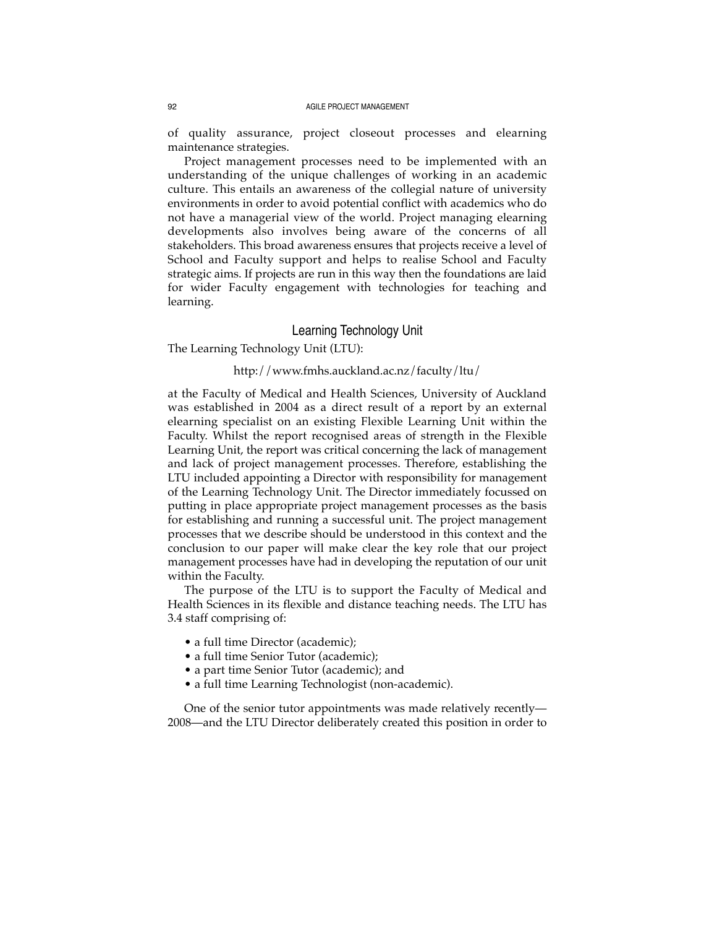of quality assurance, project closeout processes and elearning maintenance strategies.

Project management processes need to be implemented with an understanding of the unique challenges of working in an academic culture. This entails an awareness of the collegial nature of university environments in order to avoid potential conflict with academics who do not have a managerial view of the world. Project managing elearning developments also involves being aware of the concerns of all stakeholders. This broad awareness ensures that projects receive a level of School and Faculty support and helps to realise School and Faculty strategic aims. If projects are run in this way then the foundations are laid for wider Faculty engagement with technologies for teaching and learning.

# Learning Technology Unit

The Learning Technology Unit (LTU):

### http://www.fmhs.auckland.ac.nz/faculty/ltu/

at the Faculty of Medical and Health Sciences, University of Auckland was established in 2004 as a direct result of a report by an external elearning specialist on an existing Flexible Learning Unit within the Faculty. Whilst the report recognised areas of strength in the Flexible Learning Unit, the report was critical concerning the lack of management and lack of project management processes. Therefore, establishing the LTU included appointing a Director with responsibility for management of the Learning Technology Unit. The Director immediately focussed on putting in place appropriate project management processes as the basis for establishing and running a successful unit. The project management processes that we describe should be understood in this context and the conclusion to our paper will make clear the key role that our project management processes have had in developing the reputation of our unit within the Faculty.

The purpose of the LTU is to support the Faculty of Medical and Health Sciences in its flexible and distance teaching needs. The LTU has 3.4 staff comprising of:

- a full time Director (academic);
- a full time Senior Tutor (academic);
- a part time Senior Tutor (academic); and
- a full time Learning Technologist (non-academic).

One of the senior tutor appointments was made relatively recently— 2008—and the LTU Director deliberately created this position in order to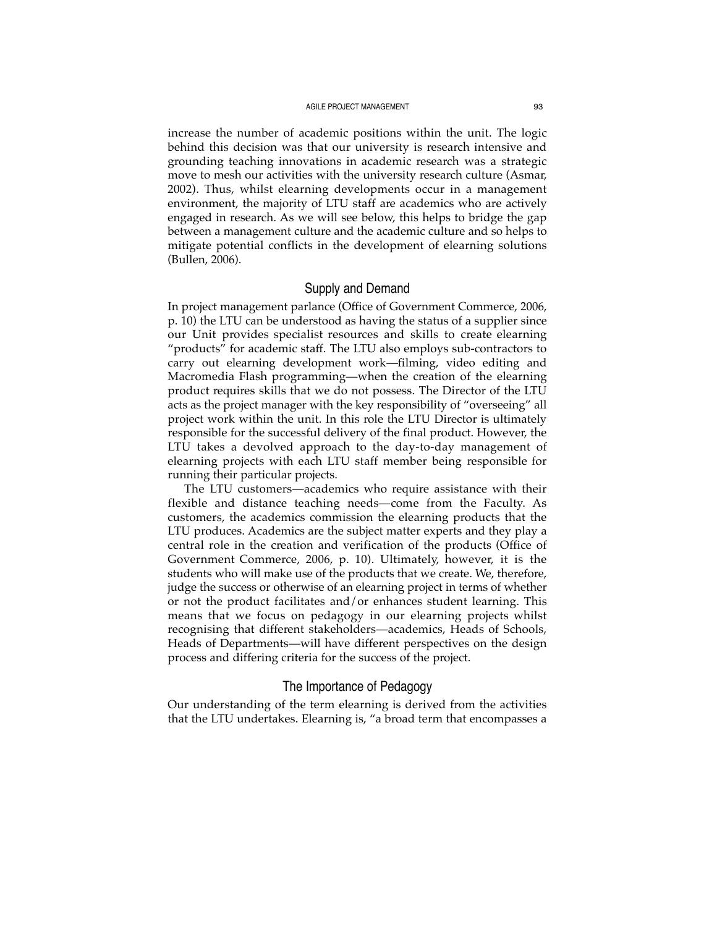increase the number of academic positions within the unit. The logic behind this decision was that our university is research intensive and grounding teaching innovations in academic research was a strategic move to mesh our activities with the university research culture (Asmar, 2002). Thus, whilst elearning developments occur in a management environment, the majority of LTU staff are academics who are actively engaged in research. As we will see below, this helps to bridge the gap between a management culture and the academic culture and so helps to mitigate potential conflicts in the development of elearning solutions (Bullen, 2006).

# Supply and Demand

In project management parlance (Office of Government Commerce, 2006, p. 10) the LTU can be understood as having the status of a supplier since our Unit provides specialist resources and skills to create elearning "products" for academic staff. The LTU also employs sub-contractors to carry out elearning development work—filming, video editing and Macromedia Flash programming—when the creation of the elearning product requires skills that we do not possess. The Director of the LTU acts as the project manager with the key responsibility of "overseeing" all project work within the unit. In this role the LTU Director is ultimately responsible for the successful delivery of the final product. However, the LTU takes a devolved approach to the day-to-day management of elearning projects with each LTU staff member being responsible for running their particular projects.

The LTU customers—academics who require assistance with their flexible and distance teaching needs—come from the Faculty. As customers, the academics commission the elearning products that the LTU produces. Academics are the subject matter experts and they play a central role in the creation and verification of the products (Office of Government Commerce, 2006, p. 10). Ultimately, however, it is the students who will make use of the products that we create. We, therefore, judge the success or otherwise of an elearning project in terms of whether or not the product facilitates and/or enhances student learning. This means that we focus on pedagogy in our elearning projects whilst recognising that different stakeholders—academics, Heads of Schools, Heads of Departments—will have different perspectives on the design process and differing criteria for the success of the project.

### The Importance of Pedagogy

Our understanding of the term elearning is derived from the activities that the LTU undertakes. Elearning is, "a broad term that encompasses a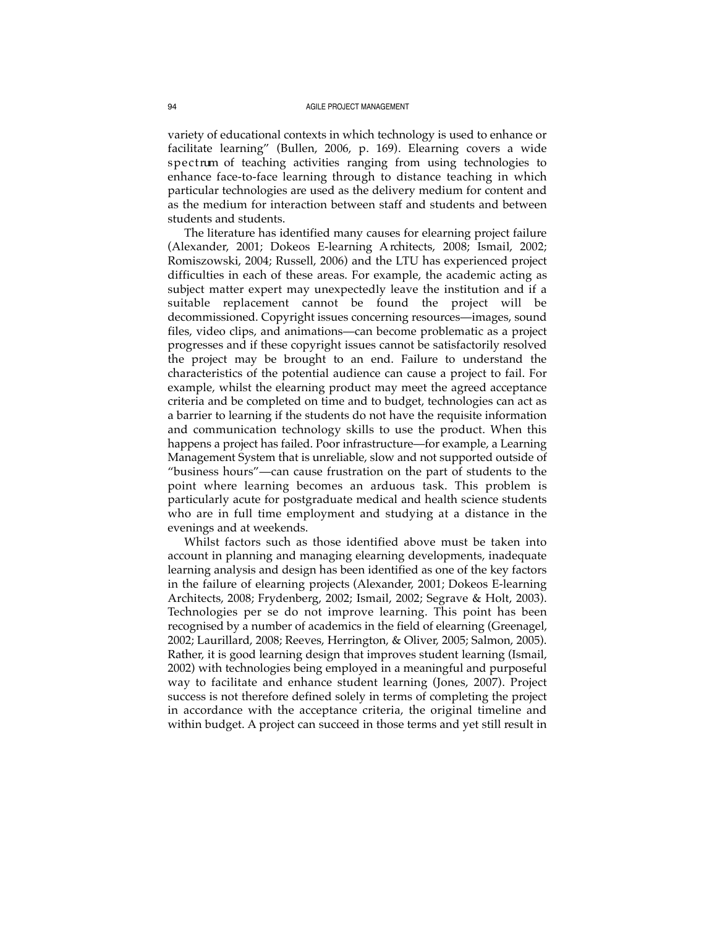variety of educational contexts in which technology is used to enhance or facilitate learning" (Bullen, 2006, p. 169). Elearning covers a wide spectrum of teaching activities ranging from using technologies to enhance face-to-face learning through to distance teaching in which particular technologies are used as the delivery medium for content and as the medium for interaction between staff and students and between students and students.

The literature has identified many causes for elearning project failure (Alexander, 2001; Dokeos E-learning Architects, 2008; Ismail, 2002; Romiszowski, 2004; Russell, 2006) and the LTU has experienced project difficulties in each of these areas. For example, the academic acting as subject matter expert may unexpectedly leave the institution and if a suitable replacement cannot be found the project will be decommissioned. Copyright issues concerning resources—images, sound files, video clips, and animations—can become problematic as a project progresses and if these copyright issues cannot be satisfactorily resolved the project may be brought to an end. Failure to understand the characteristics of the potential audience can cause a project to fail. For example, whilst the elearning product may meet the agreed acceptance criteria and be completed on time and to budget, technologies can act as a barrier to learning if the students do not have the requisite information and communication technology skills to use the product. When this happens a project has failed. Poor infrastructure—for example, a Learning Management System that is unreliable, slow and not supported outside of "business hours"—can cause frustration on the part of students to the point where learning becomes an arduous task. This problem is particularly acute for postgraduate medical and health science students who are in full time employment and studying at a distance in the evenings and at weekends.

Whilst factors such as those identified above must be taken into account in planning and managing elearning developments, inadequate learning analysis and design has been identified as one of the key factors in the failure of elearning projects (Alexander, 2001; Dokeos E-learning Architects, 2008; Frydenberg, 2002; Ismail, 2002; Segrave & Holt, 2003). Technologies per se do not improve learning. This point has been recognised by a number of academics in the field of elearning (Greenagel, 2002; Laurillard, 2008; Reeves, Herrington, & Oliver, 2005; Salmon, 2005). Rather, it is good learning design that improves student learning (Ismail, 2002) with technologies being employed in a meaningful and purposeful way to facilitate and enhance student learning (Jones, 2007). Project success is not therefore defined solely in terms of completing the project in accordance with the acceptance criteria, the original timeline and within budget. A project can succeed in those terms and yet still result in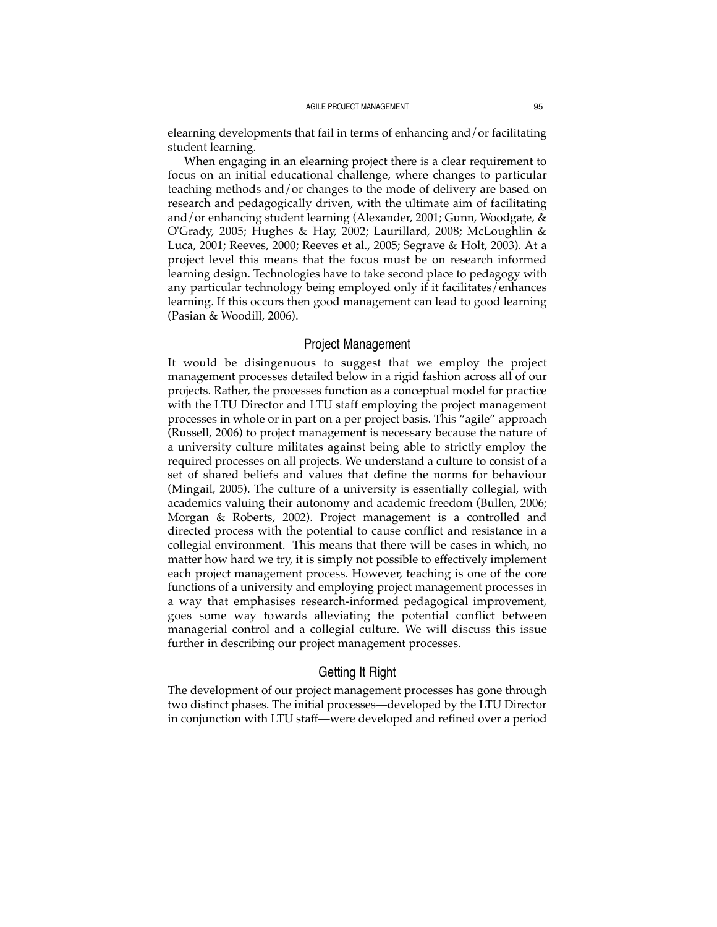elearning developments that fail in terms of enhancing and/or facilitating student learning.

When engaging in an elearning project there is a clear requirement to focus on an initial educational challenge, where changes to particular teaching methods and/or changes to the mode of delivery are based on research and pedagogically driven, with the ultimate aim of facilitating and/or enhancing student learning (Alexander, 2001; Gunn, Woodgate, & O'Grady, 2005; Hughes & Hay, 2002; Laurillard, 2008; McLoughlin & Luca, 2001; Reeves, 2000; Reeves et al., 2005; Segrave & Holt, 2003). At a project level this means that the focus must be on research informed learning design. Technologies have to take second place to pedagogy with any particular technology being employed only if it facilitates/enhances learning. If this occurs then good management can lead to good learning (Pasian & Woodill, 2006).

#### Project Management

It would be disingenuous to suggest that we employ the project management processes detailed below in a rigid fashion across all of our projects. Rather, the processes function as a conceptual model for practice with the LTU Director and LTU staff employing the project management processes in whole or in part on a per project basis. This "agile" approach (Russell, 2006) to project management is necessary because the nature of a university culture militates against being able to strictly employ the required processes on all projects. We understand a culture to consist of a set of shared beliefs and values that define the norms for behaviour (Mingail, 2005). The culture of a university is essentially collegial, with academics valuing their autonomy and academic freedom (Bullen, 2006; Morgan & Roberts, 2002). Project management is a controlled and directed process with the potential to cause conflict and resistance in a collegial environment. This means that there will be cases in which, no matter how hard we try, it is simply not possible to effectively implement each project management process. However, teaching is one of the core functions of a university and employing project management processes in a way that emphasises research-informed pedagogical improvement, goes some way towards alleviating the potential conflict between managerial control and a collegial culture. We will discuss this issue further in describing our project management processes.

### Getting It Right

The development of our project management processes has gone through two distinct phases. The initial processes—developed by the LTU Director in conjunction with LTU staff—were developed and refined over a period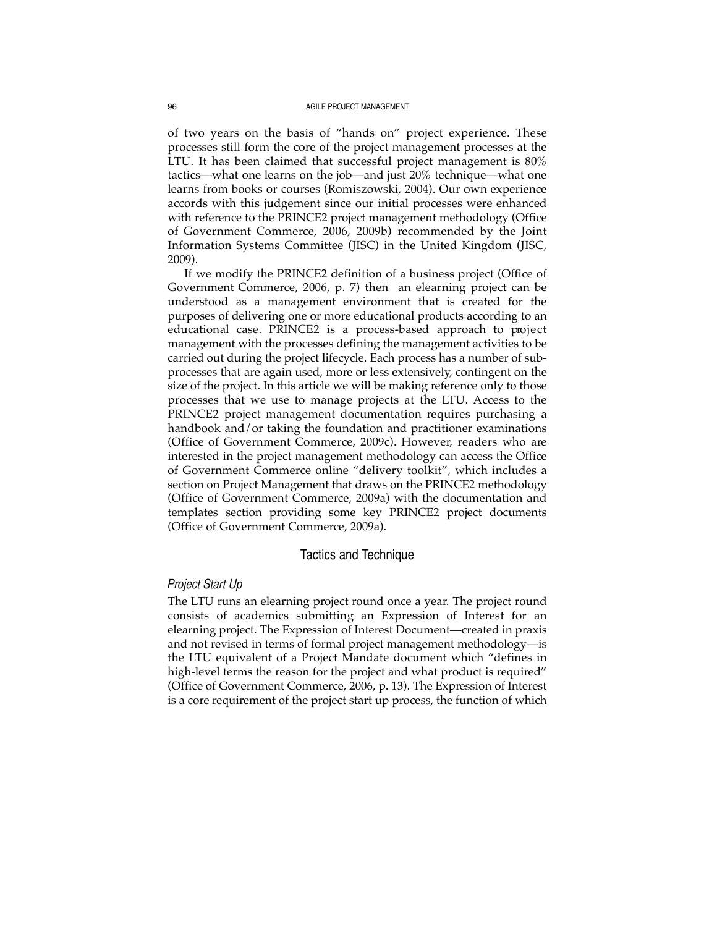of two years on the basis of "hands on" project experience. These processes still form the core of the project management processes at the LTU. It has been claimed that successful project management is 80% tactics—what one learns on the job—and just 20% technique—what one learns from books or courses (Romiszowski, 2004). Our own experience accords with this judgement since our initial processes were enhanced with reference to the PRINCE2 project management methodology (Office of Government Commerce, 2006, 2009b) recommended by the Joint Information Systems Committee (JISC) in the United Kingdom (JISC, 2009).

If we modify the PRINCE2 definition of a business project (Office of Government Commerce, 2006, p. 7) then an elearning project can be understood as a management environment that is created for the purposes of delivering one or more educational products according to an educational case. PRINCE2 is a process-based approach to project management with the processes defining the management activities to be carried out during the project lifecycle. Each process has a number of subprocesses that are again used, more or less extensively, contingent on the size of the project. In this article we will be making reference only to those processes that we use to manage projects at the LTU. Access to the PRINCE2 project management documentation requires purchasing a handbook and/or taking the foundation and practitioner examinations (Office of Government Commerce, 2009c). However, readers who are interested in the project management methodology can access the Office of Government Commerce online "delivery toolkit", which includes a section on Project Management that draws on the PRINCE2 methodology (Office of Government Commerce, 2009a) with the documentation and templates section providing some key PRINCE2 project documents (Office of Government Commerce, 2009a).

### Tactics and Technique

#### *Project Start Up*

The LTU runs an elearning project round once a year. The project round consists of academics submitting an Expression of Interest for an elearning project. The Expression of Interest Document—created in praxis and not revised in terms of formal project management methodology—is the LTU equivalent of a Project Mandate document which "defines in high-level terms the reason for the project and what product is required" (Office of Government Commerce, 2006, p. 13). The Expression of Interest is a core requirement of the project start up process, the function of which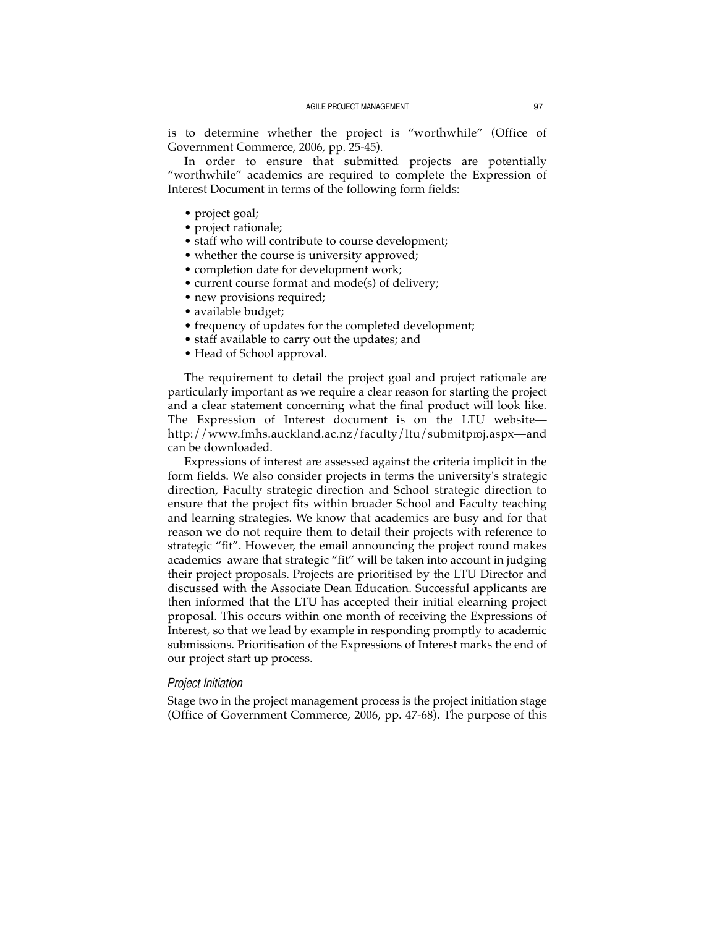is to determine whether the project is "worthwhile" (Office of Government Commerce, 2006, pp. 25-45).

In order to ensure that submitted projects are potentially "worthwhile" academics are required to complete the Expression of Interest Document in terms of the following form fields:

- project goal;
- project rationale;
- staff who will contribute to course development;
- whether the course is university approved;
- completion date for development work;
- current course format and mode(s) of delivery;
- new provisions required;
- available budget;
- frequency of updates for the completed development;
- staff available to carry out the updates; and
- Head of School approval.

The requirement to detail the project goal and project rationale are particularly important as we require a clear reason for starting the project and a clear statement concerning what the final product will look like. The Expression of Interest document is on the LTU website http://www.fmhs.auckland.ac.nz/faculty/ltu/submitproj.aspx—and can be downloaded.

Expressions of interest are assessed against the criteria implicit in the form fields. We also consider projects in terms the university's strategic direction, Faculty strategic direction and School strategic direction to ensure that the project fits within broader School and Faculty teaching and learning strategies. We know that academics are busy and for that reason we do not require them to detail their projects with reference to strategic "fit". However, the email announcing the project round makes academics aware that strategic "fit" will be taken into account in judging their project proposals. Projects are prioritised by the LTU Director and discussed with the Associate Dean Education. Successful applicants are then informed that the LTU has accepted their initial elearning project proposal. This occurs within one month of receiving the Expressions of Interest, so that we lead by example in responding promptly to academic submissions. Prioritisation of the Expressions of Interest marks the end of our project start up process.

# *Project Initiation*

Stage two in the project management process is the project initiation stage (Office of Government Commerce, 2006, pp. 47-68). The purpose of this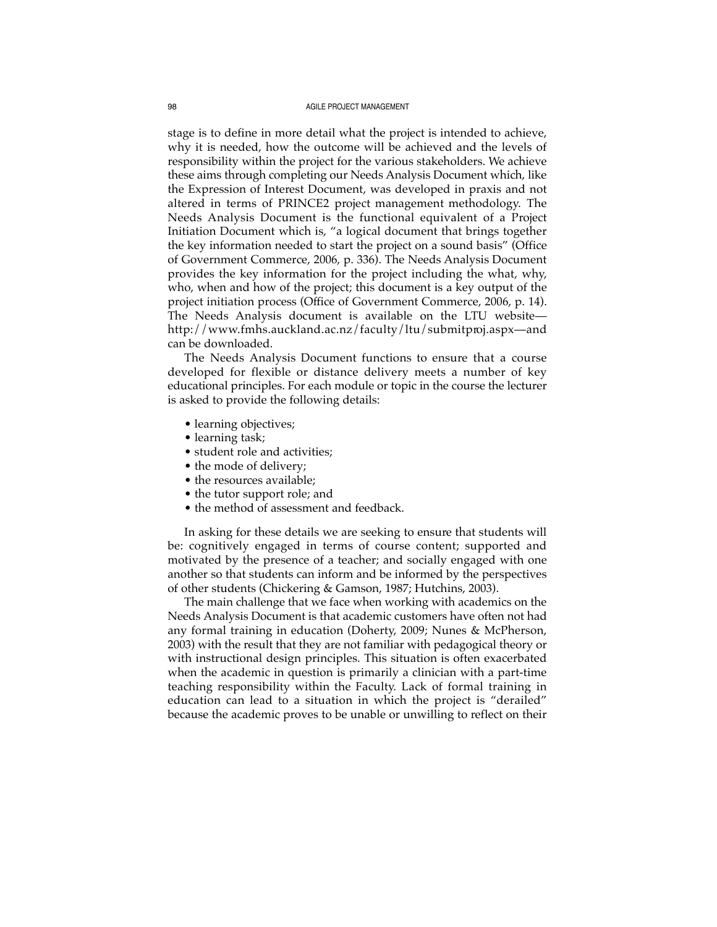stage is to define in more detail what the project is intended to achieve, why it is needed, how the outcome will be achieved and the levels of responsibility within the project for the various stakeholders. We achieve these aims through completing our Needs Analysis Document which, like the Expression of Interest Document, was developed in praxis and not altered in terms of PRINCE2 project management methodology. The Needs Analysis Document is the functional equivalent of a Project Initiation Document which is, "a logical document that brings together the key information needed to start the project on a sound basis" (Office of Government Commerce, 2006, p. 336). The Needs Analysis Document provides the key information for the project including the what, why, who, when and how of the project; this document is a key output of the project initiation process (Office of Government Commerce, 2006, p. 14). The Needs Analysis document is available on the LTU website http://www.fmhs.auckland.ac.nz/faculty/ltu/submitproj.aspx—and can be downloaded.

The Needs Analysis Document functions to ensure that a course developed for flexible or distance delivery meets a number of key educational principles. For each module or topic in the course the lecturer is asked to provide the following details:

- learning objectives;
- learning task;
- student role and activities;
- the mode of delivery;
- the resources available;
- the tutor support role; and
- the method of assessment and feedback.

In asking for these details we are seeking to ensure that students will be: cognitively engaged in terms of course content; supported and motivated by the presence of a teacher; and socially engaged with one another so that students can inform and be informed by the perspectives of other students (Chickering & Gamson, 1987; Hutchins, 2003).

The main challenge that we face when working with academics on the Needs Analysis Document is that academic customers have often not had any formal training in education (Doherty, 2009; Nunes & McPherson, 2003) with the result that they are not familiar with pedagogical theory or with instructional design principles. This situation is often exacerbated when the academic in question is primarily a clinician with a part-time teaching responsibility within the Faculty. Lack of formal training in education can lead to a situation in which the project is "derailed" because the academic proves to be unable or unwilling to reflect on their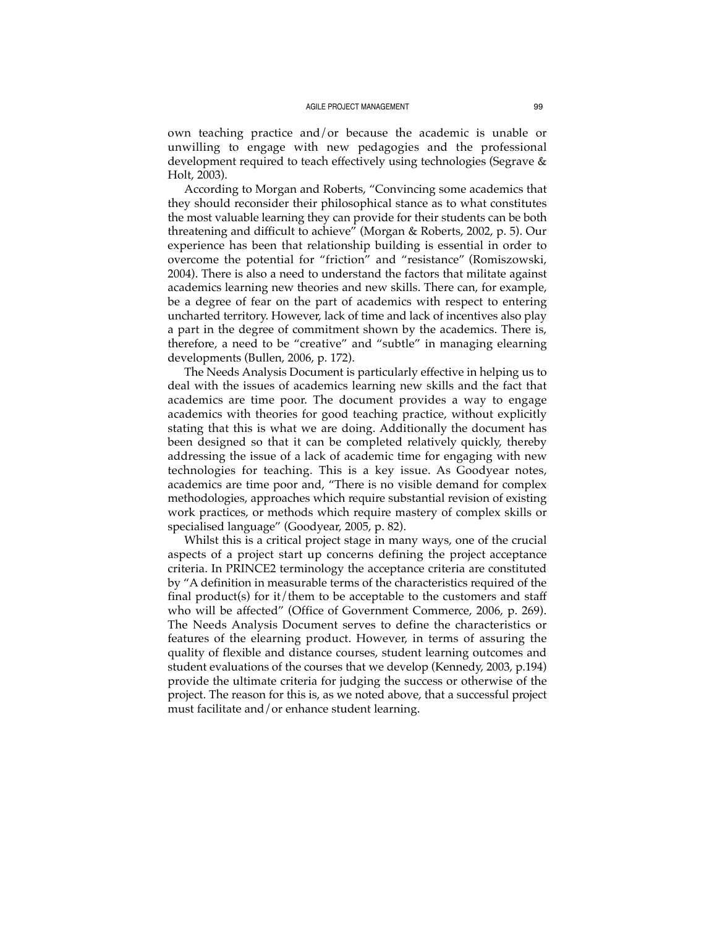own teaching practice and/or because the academic is unable or unwilling to engage with new pedagogies and the professional development required to teach effectively using technologies (Segrave & Holt, 2003).

According to Morgan and Roberts, "Convincing some academics that they should reconsider their philosophical stance as to what constitutes the most valuable learning they can provide for their students can be both threatening and difficult to achieve" (Morgan & Roberts, 2002, p. 5). Our experience has been that relationship building is essential in order to overcome the potential for "friction" and "resistance" (Romiszowski, 2004). There is also a need to understand the factors that militate against academics learning new theories and new skills. There can, for example, be a degree of fear on the part of academics with respect to entering uncharted territory. However, lack of time and lack of incentives also play a part in the degree of commitment shown by the academics. There is, therefore, a need to be "creative" and "subtle" in managing elearning developments (Bullen, 2006, p. 172).

The Needs Analysis Document is particularly effective in helping us to deal with the issues of academics learning new skills and the fact that academics are time poor. The document provides a way to engage academics with theories for good teaching practice, without explicitly stating that this is what we are doing. Additionally the document has been designed so that it can be completed relatively quickly, thereby addressing the issue of a lack of academic time for engaging with new technologies for teaching. This is a key issue. As Goodyear notes, academics are time poor and, "There is no visible demand for complex methodologies, approaches which require substantial revision of existing work practices, or methods which require mastery of complex skills or specialised language" (Goodyear, 2005, p. 82).

Whilst this is a critical project stage in many ways, one of the crucial aspects of a project start up concerns defining the project acceptance criteria. In PRINCE2 terminology the acceptance criteria are constituted by "A definition in measurable terms of the characteristics required of the final product(s) for it/them to be acceptable to the customers and staff who will be affected" (Office of Government Commerce, 2006, p. 269). The Needs Analysis Document serves to define the characteristics or features of the elearning product. However, in terms of assuring the quality of flexible and distance courses, student learning outcomes and student evaluations of the courses that we develop (Kennedy, 2003, p.194) provide the ultimate criteria for judging the success or otherwise of the project. The reason for this is, as we noted above, that a successful project must facilitate and/or enhance student learning.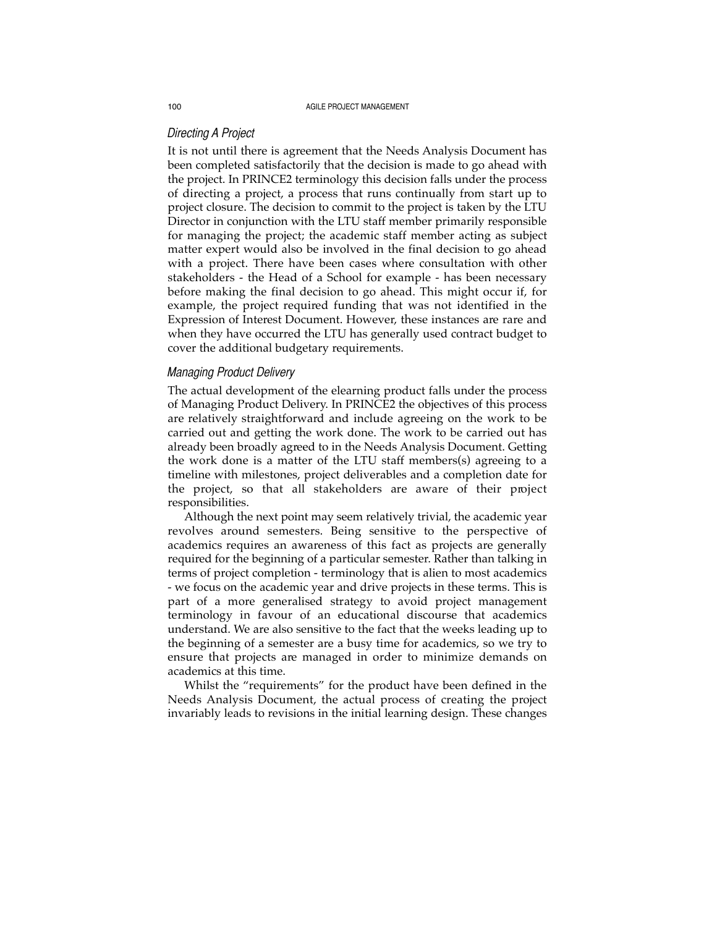# *Directing A Project*

It is not until there is agreement that the Needs Analysis Document has been completed satisfactorily that the decision is made to go ahead with the project. In PRINCE2 terminology this decision falls under the process of directing a project, a process that runs continually from start up to project closure. The decision to commit to the project is taken by the LTU Director in conjunction with the LTU staff member primarily responsible for managing the project; the academic staff member acting as subject matter expert would also be involved in the final decision to go ahead with a project. There have been cases where consultation with other stakeholders - the Head of a School for example - has been necessary before making the final decision to go ahead. This might occur if, for example, the project required funding that was not identified in the Expression of Interest Document. However, these instances are rare and when they have occurred the LTU has generally used contract budget to cover the additional budgetary requirements.

# *Managing Product Delivery*

The actual development of the elearning product falls under the process of Managing Product Delivery. In PRINCE2 the objectives of this process are relatively straightforward and include agreeing on the work to be carried out and getting the work done. The work to be carried out has already been broadly agreed to in the Needs Analysis Document. Getting the work done is a matter of the LTU staff members(s) agreeing to a timeline with milestones, project deliverables and a completion date for the project, so that all stakeholders are aware of their project responsibilities.

Although the next point may seem relatively trivial, the academic year revolves around semesters. Being sensitive to the perspective of academics requires an awareness of this fact as projects are generally required for the beginning of a particular semester. Rather than talking in terms of project completion - terminology that is alien to most academics - we focus on the academic year and drive projects in these terms. This is part of a more generalised strategy to avoid project management terminology in favour of an educational discourse that academics understand. We are also sensitive to the fact that the weeks leading up to the beginning of a semester are a busy time for academics, so we try to ensure that projects are managed in order to minimize demands on academics at this time.

Whilst the "requirements" for the product have been defined in the Needs Analysis Document, the actual process of creating the project invariably leads to revisions in the initial learning design. These changes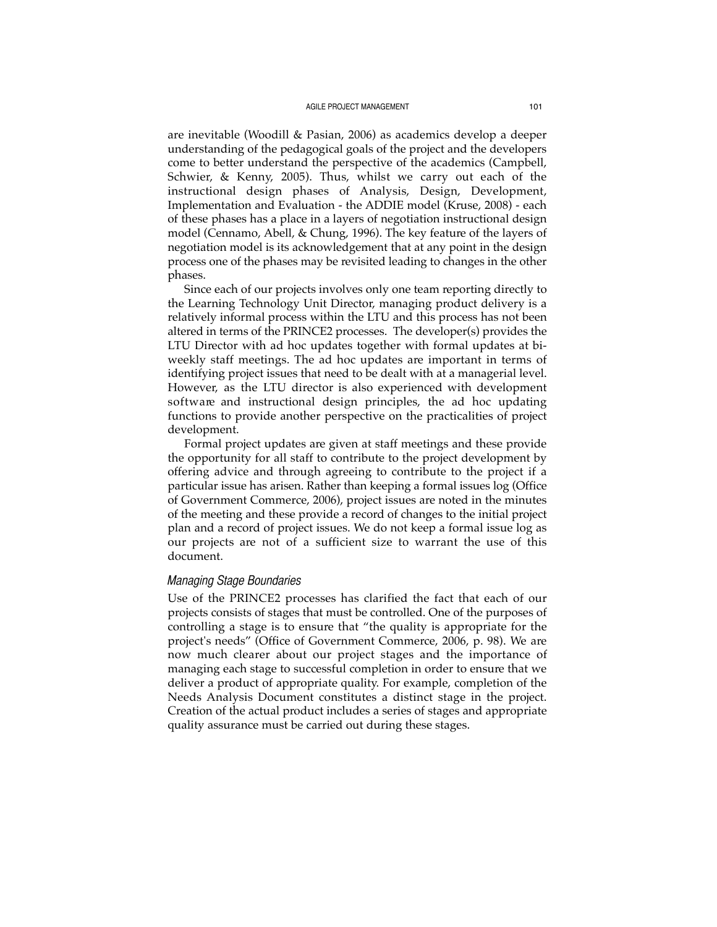are inevitable (Woodill & Pasian, 2006) as academics develop a deeper understanding of the pedagogical goals of the project and the developers come to better understand the perspective of the academics (Campbell, Schwier,  $\&$  Kenny, 2005). Thus, whilst we carry out each of the instructional design phases of Analysis, Design, Development, Implementation and Evaluation - the ADDIE model (Kruse, 2008) - each of these phases has a place in a layers of negotiation instructional design model (Cennamo, Abell, & Chung, 1996). The key feature of the layers of negotiation model is its acknowledgement that at any point in the design process one of the phases may be revisited leading to changes in the other phases.

Since each of our projects involves only one team reporting directly to the Learning Technology Unit Director, managing product delivery is a relatively informal process within the LTU and this process has not been altered in terms of the PRINCE2 processes. The developer(s) provides the LTU Director with ad hoc updates together with formal updates at biweekly staff meetings. The ad hoc updates are important in terms of identifying project issues that need to be dealt with at a managerial level. However, as the LTU director is also experienced with development s of tware and instructional design principles, the ad hoc updating functions to provide another perspective on the practicalities of project development.

Formal project updates are given at staff meetings and these provide the opportunity for all staff to contribute to the project development by offering advice and through agreeing to contribute to the project if a particular issue has arisen. Rather than keeping a formal issues log (Office of Government Commerce, 2006), project issues are noted in the minutes of the meeting and these provide a record of changes to the initial project plan and a record of project issues. We do not keep a formal issue log as our projects are not of a sufficient size to warrant the use of this document.

# *Managing Stage Boundaries*

Use of the PRINCE2 processes has clarified the fact that each of our projects consists of stages that must be controlled. One of the purposes of controlling a stage is to ensure that "the quality is appropriate for the project's needs" (Office of Government Commerce, 2006, p. 98). We are now much clearer about our project stages and the importance of managing each stage to successful completion in order to ensure that we deliver a product of appropriate quality. For example, completion of the Needs Analysis Document constitutes a distinct stage in the project. Creation of the actual product includes a series of stages and appropriate quality assurance must be carried out during these stages.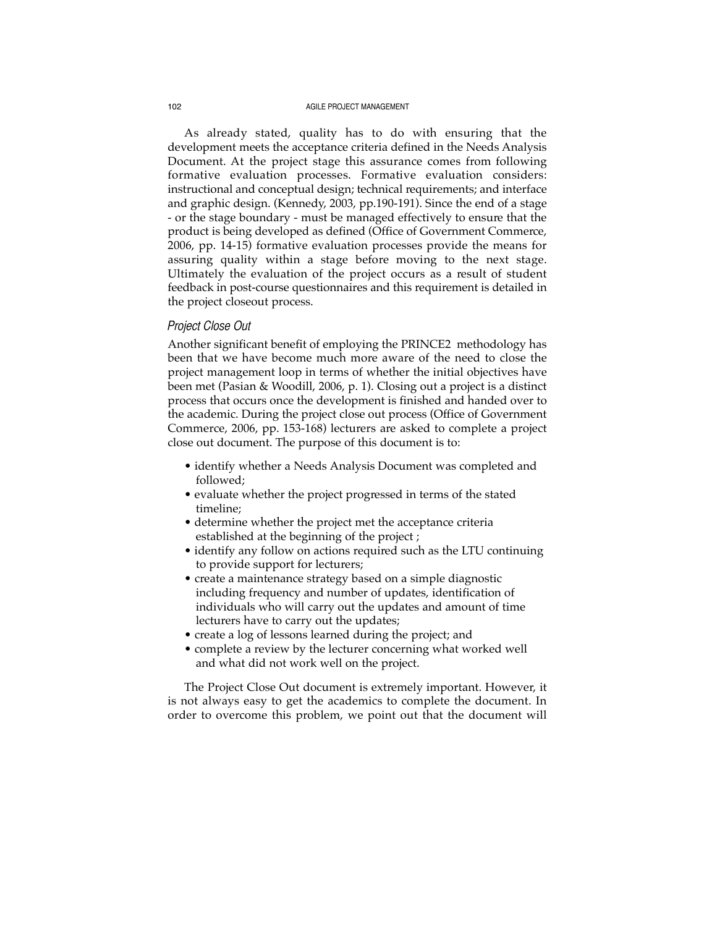As already stated, quality has to do with ensuring that the development meets the acceptance criteria defined in the Needs Analysis Document. At the project stage this assurance comes from following formative evaluation processes. Formative evaluation considers: instructional and conceptual design; technical requirements; and interface and graphic design. (Kennedy, 2003, pp.190-191). Since the end of a stage - or the stage boundary - must be managed effectively to ensure that the product is being developed as defined (Office of Government Commerce, 2006, pp. 14-15) formative evaluation processes provide the means for assuring quality within a stage before moving to the next stage. Ultimately the evaluation of the project occurs as a result of student feedback in post-course questionnaires and this requirement is detailed in the project closeout process.

### *Project Close Out*

Another significant benefit of employing the PRINCE2 methodology has been that we have become much more aware of the need to close the project management loop in terms of whether the initial objectives have been met (Pasian & Woodill, 2006, p. 1). Closing out a project is a distinct process that occurs once the development is finished and handed over to the academic. During the project close out process (Office of Government Commerce, 2006, pp. 153-168) lecturers are asked to complete a project close out document. The purpose of this document is to:

- identify whether a Needs Analysis Document was completed and followed;
- evaluate whether the project progressed in terms of the stated timeline;
- determine whether the project met the acceptance criteria established at the beginning of the project ;
- identify any follow on actions required such as the LTU continuing to provide support for lecturers;
- create a maintenance strategy based on a simple diagnostic including frequency and number of updates, identification of individuals who will carry out the updates and amount of time lecturers have to carry out the updates;
- create a log of lessons learned during the project; and
- complete a review by the lecturer concerning what worked well and what did not work well on the project.

The Project Close Out document is extremely important. However, it is not always easy to get the academics to complete the document. In order to overcome this problem, we point out that the document will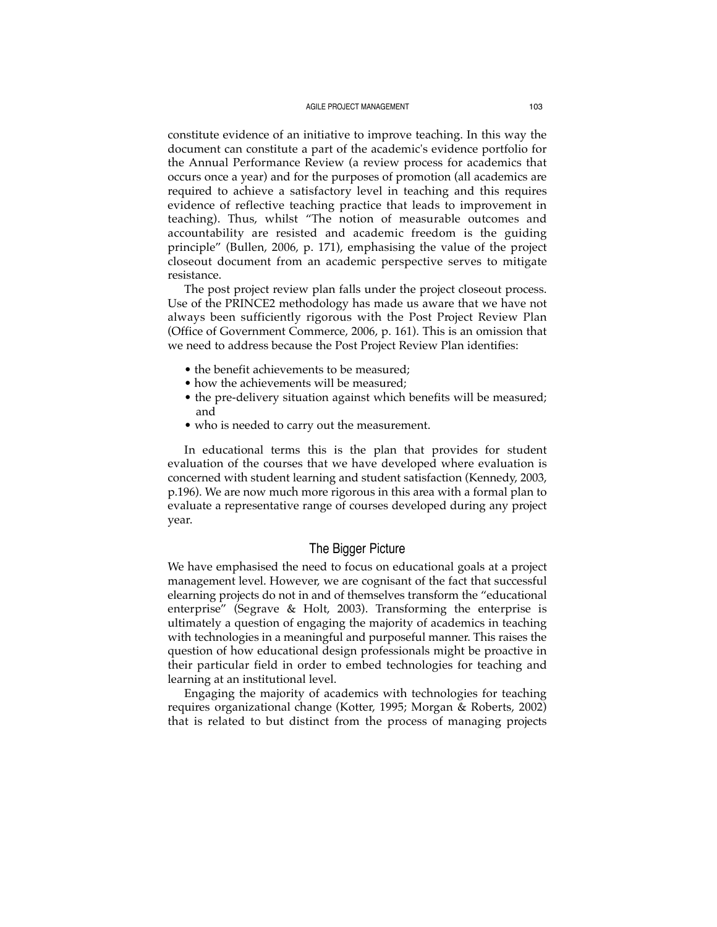constitute evidence of an initiative to improve teaching. In this way the document can constitute a part of the academic's evidence portfolio for the Annual Performance Review (a review process for academics that occurs once a year) and for the purposes of promotion (all academics are required to achieve a satisfactory level in teaching and this requires evidence of reflective teaching practice that leads to improvement in teaching). Thus, whilst "The notion of measurable outcomes and accountability are resisted and academic freedom is the guiding principle" (Bullen, 2006, p. 171), emphasising the value of the project closeout document from an academic perspective serves to mitigate resistance.

The post project review plan falls under the project closeout process. Use of the PRINCE2 methodology has made us aware that we have not always been sufficiently rigorous with the Post Project Review Plan (Office of Government Commerce, 2006, p. 161). This is an omission that we need to address because the Post Project Review Plan identifies:

- the benefit achievements to be measured;
- how the achievements will be measured:
- the pre-delivery situation against which benefits will be measured; and
- who is needed to carry out the measurement.

In educational terms this is the plan that provides for student evaluation of the courses that we have developed where evaluation is concerned with student learning and student satisfaction (Kennedy, 2003, p.196). We are now much more rigorous in this area with a formal plan to evaluate a representative range of courses developed during any project year.

# The Bigger Picture

We have emphasised the need to focus on educational goals at a project management level. However, we are cognisant of the fact that successful elearning projects do not in and of themselves transform the "educational enterprise" (Segrave & Holt, 2003). Transforming the enterprise is ultimately a question of engaging the majority of academics in teaching with technologies in a meaningful and purposeful manner. This raises the question of how educational design professionals might be proactive in their particular field in order to embed technologies for teaching and learning at an institutional level.

Engaging the majority of academics with technologies for teaching requires organizational change (Kotter, 1995; Morgan & Roberts, 2002) that is related to but distinct from the process of managing projects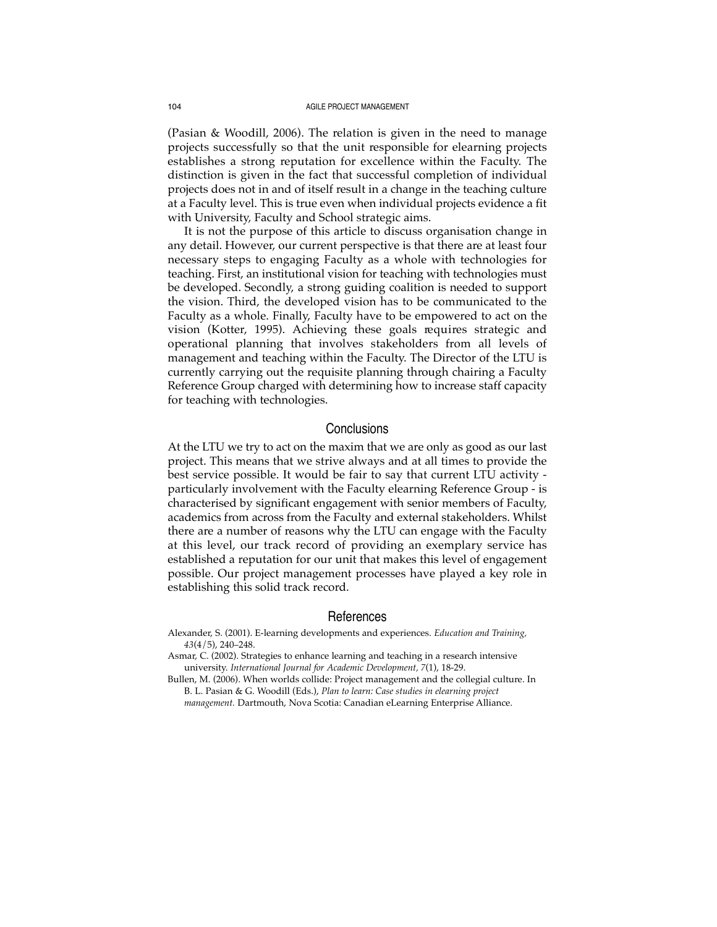(Pasian & Woodill, 2006). The relation is given in the need to manage projects successfully so that the unit responsible for elearning projects establishes a strong reputation for excellence within the Faculty. The distinction is given in the fact that successful completion of individual projects does not in and of itself result in a change in the teaching culture at a Faculty level. This is true even when individual projects evidence a fit with University, Faculty and School strategic aims.

It is not the purpose of this article to discuss organisation change in any detail. However, our current perspective is that there are at least four necessary steps to engaging Faculty as a whole with technologies for teaching. First, an institutional vision for teaching with technologies must be developed. Secondly, a strong guiding coalition is needed to support the vision. Third, the developed vision has to be communicated to the Faculty as a whole. Finally, Faculty have to be empowered to act on the vision (Kotter, 1995). Achieving these goals requires strategic and operational planning that involves stakeholders from all levels of management and teaching within the Faculty. The Director of the LTU is currently carrying out the requisite planning through chairing a Faculty Reference Group charged with determining how to increase staff capacity for teaching with technologies.

# **Conclusions**

At the LTU we try to act on the maxim that we are only as good as our last project. This means that we strive always and at all times to provide the best service possible. It would be fair to say that current LTU activity particularly involvement with the Faculty elearning Reference Group - is characterised by significant engagement with senior members of Faculty, academics from across from the Faculty and external stakeholders. Whilst there are a number of reasons why the LTU can engage with the Faculty at this level, our track record of providing an exemplary service has established a reputation for our unit that makes this level of engagement possible. Our project management processes have played a key role in establishing this solid track record.

#### References

- Alexander, S. (2001). E-learning developments and experiences. *Education and Training, 43*(4/5), 240–248.
- Asmar, C. (2002). Strategies to enhance learning and teaching in a research intensive university. *International Journal for Academic Development, 7*(1), 18-29.

Bullen, M. (2006). When worlds collide: Project management and the collegial culture. In B. L. Pasian & G. Woodill (Eds.), *Plan to learn: Case studies in elearning project management.* Dartmouth, Nova Scotia: Canadian eLearning Enterprise Alliance.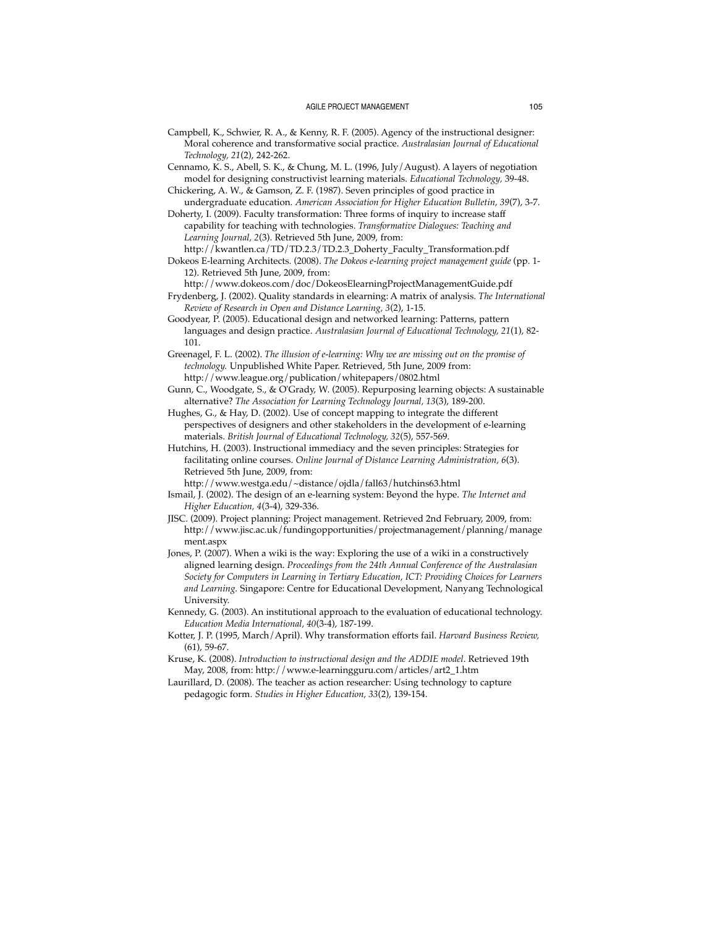- Campbell, K., Schwier, R. A., & Kenny, R. F. (2005). Agency of the instructional designer: Moral coherence and transformative social practice. *Australasian Journal of Educational Technology, 21*(2), 242-262.
- Cennamo, K. S., Abell, S. K., & Chung, M. L. (1996, July/August). A layers of negotiation model for designing constructivist learning materials. *Educational Technology,* 39-48.
- Chickering, A. W., & Gamson, Z. F. (1987). Seven principles of good practice in undergraduate education. *American Association for Higher Education Bulletin, 39*(7), 3-7.
- Doherty, I. (2009). Faculty transformation: Three forms of inquiry to increase staff capability for teaching with technologies. *Transformative Dialogues: Teaching and Learning Journal, 2*(3). Retrieved 5th June, 2009, from:
- http://kwantlen.ca/TD/TD.2.3/TD.2.3\_Doherty\_Faculty\_Transformation.pdf Dokeos E-learning Architects. (2008). *The Dokeos e-learning project management guide* (pp. 1- 12). Retrieved 5th June, 2009, from:
- http://www.dokeos.com/doc/DokeosElearningProjectManagementGuide.pdf Frydenberg, J. (2002). Quality standards in elearning: A matrix of analysis. *The International*
- *Review of Research in Open and Distance Learning, 3*(2), 1-15.
- Goodyear, P. (2005). Educational design and networked learning: Patterns, pattern languages and design practice. *Australasian Journal of Educational Technology, 21*(1), 82- 101.
- Greenagel, F. L. (2002). *The illusion of e-learning: Why we are missing out on the promise of technology.* Unpublished White Paper. Retrieved, 5th June, 2009 from: http://www.league.org/publication/whitepapers/0802.html
- Gunn, C., Woodgate, S., & O'Grady, W. (2005). Repurposing learning objects: A sustainable alternative? *The Association for Learning Technology Journal, 13*(3), 189-200.
- Hughes, G., & Hay, D. (2002). Use of concept mapping to integrate the different perspectives of designers and other stakeholders in the development of e-learning materials. *British Journal of Educational Technology, 32*(5), 557-569.
- Hutchins, H. (2003). Instructional immediacy and the seven principles: Strategies for facilitating online courses. *Online Journal of Distance Learning Administration, 6*(3). Retrieved 5th June, 2009, from:
- http://www.westga.edu/~distance/ojdla/fall63/hutchins63.html Ismail, J. (2002). The design of an e-learning system: Beyond the hype. *The Internet and Higher Education, 4*(3-4), 329-336.
- JISC. (2009). Project planning: Project management. Retrieved 2nd February, 2009, from: http://www.jisc.ac.uk/fundingopportunities/projectmanagement/planning/manage ment.aspx
- Jones, P. (2007). When a wiki is the way: Exploring the use of a wiki in a constructively aligned learning design. *Proceedings from the 24th Annual Conference of the Australasian Society for Computers in Learning in Tertiary Education, ICT: Providing Choices for Learners and Learning.* Singapore: Centre for Educational Development, Nanyang Technological University.
- Kennedy, G. (2003). An institutional approach to the evaluation of educational technology. *Education Media International, 40*(3-4), 187-199.
- Kotter, J. P. (1995, March/April). Why transformation efforts fail. *Harvard Business Review,* (61), 59-67.
- Kruse, K. (2008). *Introduction to instructional design and the ADDIE model*. Retrieved 19th May, 2008, from: http://www.e-learningguru.com/articles/art2\_1.htm
- Laurillard, D. (2008). The teacher as action researcher: Using technology to capture pedagogic form. *Studies in Higher Education, 33*(2), 139-154.